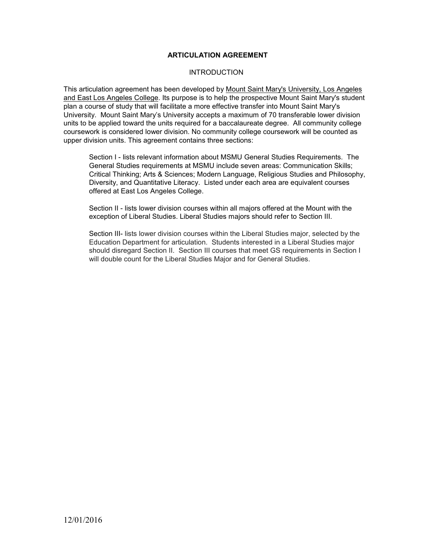# **ARTICULATION AGREEMENT**

### **INTRODUCTION**

This articulation agreement has been developed by Mount Saint Mary's University, Los Angeles and East Los Angeles College. Its purpose is to help the prospective Mount Saint Mary's student plan a course of study that will facilitate a more effective transfer into Mount Saint Mary's University. Mount Saint Mary's University accepts a maximum of 70 transferable lower division units to be applied toward the units required for a baccalaureate degree. All community college coursework is considered lower division. No community college coursework will be counted as upper division units. This agreement contains three sections:

Section I - lists relevant information about MSMU General Studies Requirements. The General Studies requirements at MSMU include seven areas: Communication Skills; Critical Thinking; Arts & Sciences; Modern Language, Religious Studies and Philosophy, Diversity, and Quantitative Literacy. Listed under each area are equivalent courses offered at East Los Angeles College.

Section II - lists lower division courses within all majors offered at the Mount with the exception of Liberal Studies. Liberal Studies majors should refer to Section III.

Section III- lists lower division courses within the Liberal Studies major, selected by the Education Department for articulation. Students interested in a Liberal Studies major should disregard Section II. Section III courses that meet GS requirements in Section I will double count for the Liberal Studies Major and for General Studies.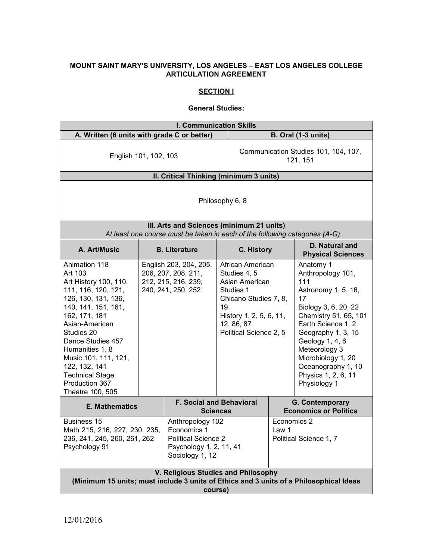# **MOUNT SAINT MARY'S UNIVERSITY, LOS ANGELES – EAST LOS ANGELES COLLEGE ARTICULATION AGREEMENT**

# **SECTION I**

#### **General Studies:**

| <b>I. Communication Skills</b>                                                                                                                                                                                                                                                                                           |  |                                                                                                                                             |                                                                                                                                                                   |                      |                                                                                                                                                                                                                                                                                        |
|--------------------------------------------------------------------------------------------------------------------------------------------------------------------------------------------------------------------------------------------------------------------------------------------------------------------------|--|---------------------------------------------------------------------------------------------------------------------------------------------|-------------------------------------------------------------------------------------------------------------------------------------------------------------------|----------------------|----------------------------------------------------------------------------------------------------------------------------------------------------------------------------------------------------------------------------------------------------------------------------------------|
| A. Written (6 units with grade C or better)                                                                                                                                                                                                                                                                              |  |                                                                                                                                             |                                                                                                                                                                   |                      | <b>B. Oral (1-3 units)</b>                                                                                                                                                                                                                                                             |
| English 101, 102, 103                                                                                                                                                                                                                                                                                                    |  |                                                                                                                                             |                                                                                                                                                                   |                      | Communication Studies 101, 104, 107,<br>121, 151                                                                                                                                                                                                                                       |
|                                                                                                                                                                                                                                                                                                                          |  | II. Critical Thinking (minimum 3 units)                                                                                                     |                                                                                                                                                                   |                      |                                                                                                                                                                                                                                                                                        |
| Philosophy 6, 8                                                                                                                                                                                                                                                                                                          |  |                                                                                                                                             |                                                                                                                                                                   |                      |                                                                                                                                                                                                                                                                                        |
|                                                                                                                                                                                                                                                                                                                          |  | III. Arts and Sciences (minimum 21 units)<br>At least one course must be taken in each of the following categories (A-G)                    |                                                                                                                                                                   |                      |                                                                                                                                                                                                                                                                                        |
| A. Art/Music                                                                                                                                                                                                                                                                                                             |  | <b>B.</b> Literature                                                                                                                        | C. History                                                                                                                                                        |                      | <b>D. Natural and</b><br><b>Physical Sciences</b>                                                                                                                                                                                                                                      |
| Animation 118<br>Art 103<br>Art History 100, 110,<br>111, 116, 120, 121,<br>126, 130, 131, 136,<br>140, 141, 151, 161,<br>162, 171, 181<br>Asian-American<br>Studies 20<br>Dance Studies 457<br>Humanities 1, 8<br>Music 101, 111, 121,<br>122, 132, 141<br><b>Technical Stage</b><br>Production 367<br>Theatre 100, 505 |  | English 203, 204, 205,<br>206, 207, 208, 211,<br>212, 215, 216, 239,<br>240, 241, 250, 252                                                  | African American<br>Studies 4, 5<br>Asian American<br>Studies 1<br>Chicano Studies 7, 8,<br>19<br>History 1, 2, 5, 6, 11,<br>12, 86, 87<br>Political Science 2, 5 |                      | Anatomy 1<br>Anthropology 101,<br>111<br>Astronomy 1, 5, 16,<br>17<br>Biology 3, 6, 20, 22<br>Chemistry 51, 65, 101<br>Earth Science 1, 2<br>Geography 1, 3, 15<br>Geology 1, 4, 6<br>Meteorology 3<br>Microbiology 1, 20<br>Oceanography 1, 10<br>Physics 1, 2, 6, 11<br>Physiology 1 |
| <b>F. Social and Behavioral</b><br>G. Contemporary<br><b>E. Mathematics</b><br><b>Economics or Politics</b><br><b>Sciences</b>                                                                                                                                                                                           |  |                                                                                                                                             |                                                                                                                                                                   |                      |                                                                                                                                                                                                                                                                                        |
| <b>Business 15</b><br>Math 215, 216, 227, 230, 235,<br>236, 241, 245, 260, 261, 262<br>Psychology 91                                                                                                                                                                                                                     |  | Anthropology 102<br>Economics 1<br>Political Science 2<br>Psychology 1, 2, 11, 41<br>Sociology 1, 12<br>V. Religious Studies and Philosophy |                                                                                                                                                                   | Economics 2<br>Law 1 | Political Science 1, 7                                                                                                                                                                                                                                                                 |
| (Minimum 15 units; must include 3 units of Ethics and 3 units of a Philosophical Ideas<br>course)                                                                                                                                                                                                                        |  |                                                                                                                                             |                                                                                                                                                                   |                      |                                                                                                                                                                                                                                                                                        |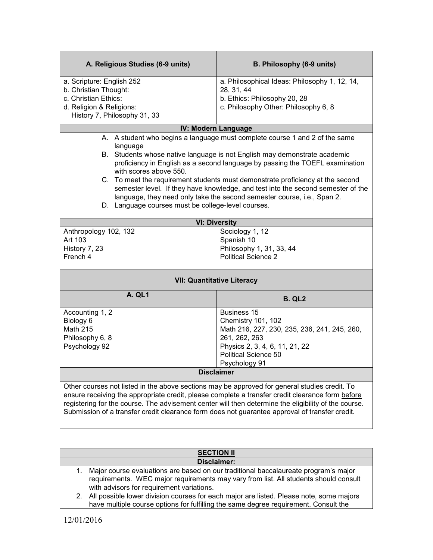| A. Religious Studies (6-9 units)                                                                                                                                                                                                                                                                                                                                                                            | B. Philosophy (6-9 units)                                                                                                                                                                                                                                                                                                                                                                                                                                                                 |  |
|-------------------------------------------------------------------------------------------------------------------------------------------------------------------------------------------------------------------------------------------------------------------------------------------------------------------------------------------------------------------------------------------------------------|-------------------------------------------------------------------------------------------------------------------------------------------------------------------------------------------------------------------------------------------------------------------------------------------------------------------------------------------------------------------------------------------------------------------------------------------------------------------------------------------|--|
| a. Scripture: English 252<br>b. Christian Thought:<br>c. Christian Ethics:<br>d. Religion & Religions:<br>History 7, Philosophy 31, 33                                                                                                                                                                                                                                                                      | a. Philosophical Ideas: Philosophy 1, 12, 14,<br>28, 31, 44<br>b. Ethics: Philosophy 20, 28<br>c. Philosophy Other: Philosophy 6, 8                                                                                                                                                                                                                                                                                                                                                       |  |
|                                                                                                                                                                                                                                                                                                                                                                                                             | IV: Modern Language                                                                                                                                                                                                                                                                                                                                                                                                                                                                       |  |
| language<br>with scores above 550.<br>D. Language courses must be college-level courses.                                                                                                                                                                                                                                                                                                                    | A. A student who begins a language must complete course 1 and 2 of the same<br>B. Students whose native language is not English may demonstrate academic<br>proficiency in English as a second language by passing the TOEFL examination<br>C. To meet the requirement students must demonstrate proficiency at the second<br>semester level. If they have knowledge, and test into the second semester of the<br>language, they need only take the second semester course, i.e., Span 2. |  |
|                                                                                                                                                                                                                                                                                                                                                                                                             | <b>VI: Diversity</b>                                                                                                                                                                                                                                                                                                                                                                                                                                                                      |  |
| Anthropology 102, 132<br>Art 103<br>History 7, 23<br>French 4                                                                                                                                                                                                                                                                                                                                               | Sociology 1, 12<br>Spanish 10<br>Philosophy 1, 31, 33, 44<br><b>Political Science 2</b>                                                                                                                                                                                                                                                                                                                                                                                                   |  |
|                                                                                                                                                                                                                                                                                                                                                                                                             | <b>VII: Quantitative Literacy</b>                                                                                                                                                                                                                                                                                                                                                                                                                                                         |  |
| A. QL1                                                                                                                                                                                                                                                                                                                                                                                                      | <b>B. QL2</b>                                                                                                                                                                                                                                                                                                                                                                                                                                                                             |  |
| Accounting 1, 2<br>Biology 6<br><b>Math 215</b><br>Philosophy 6, 8<br>Psychology 92                                                                                                                                                                                                                                                                                                                         | <b>Business 15</b><br>Chemistry 101, 102<br>Math 216, 227, 230, 235, 236, 241, 245, 260,<br>261, 262, 263<br>Physics 2, 3, 4, 6, 11, 21, 22<br>Political Science 50<br>Psychology 91                                                                                                                                                                                                                                                                                                      |  |
|                                                                                                                                                                                                                                                                                                                                                                                                             | <b>Disclaimer</b>                                                                                                                                                                                                                                                                                                                                                                                                                                                                         |  |
| Other courses not listed in the above sections may be approved for general studies credit. To<br>ensure receiving the appropriate credit, please complete a transfer credit clearance form before<br>registering for the course. The advisement center will then determine the eligibility of the course.<br>Submission of a transfer credit clearance form does not guarantee approval of transfer credit. |                                                                                                                                                                                                                                                                                                                                                                                                                                                                                           |  |

|             | <b>SECTION II</b>                                                                                                                                                                                                        |  |
|-------------|--------------------------------------------------------------------------------------------------------------------------------------------------------------------------------------------------------------------------|--|
| Disclaimer: |                                                                                                                                                                                                                          |  |
|             | Major course evaluations are based on our traditional baccalaureate program's major<br>requirements. WEC major requirements may vary from list. All students should consult<br>with advisors for requirement variations. |  |
|             | 2. All possible lower division courses for each major are listed. Please note, some majors<br>have multiple course options for fulfilling the same degree requirement. Consult the                                       |  |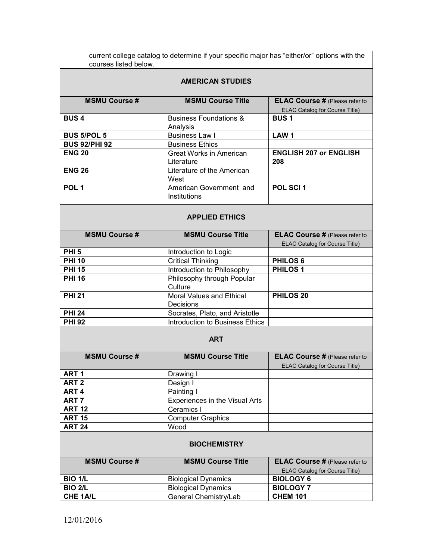| courses listed below. | current college catalog to determine if your specific major has "either/or" options with the |                                                                                |
|-----------------------|----------------------------------------------------------------------------------------------|--------------------------------------------------------------------------------|
|                       | <b>AMERICAN STUDIES</b>                                                                      |                                                                                |
| <b>MSMU Course #</b>  | <b>MSMU Course Title</b>                                                                     | <b>ELAC Course # (Please refer to</b><br><b>ELAC Catalog for Course Title)</b> |
| <b>BUS4</b>           | <b>Business Foundations &amp;</b><br>Analysis                                                | <b>BUS1</b>                                                                    |
| <b>BUS 5/POL 5</b>    | <b>Business Law I</b>                                                                        | LAW <sub>1</sub>                                                               |
| <b>BUS 92/PHI 92</b>  | <b>Business Ethics</b>                                                                       |                                                                                |
| <b>ENG 20</b>         | <b>Great Works in American</b><br>Literature                                                 | <b>ENGLISH 207 or ENGLISH</b><br>208                                           |
| <b>ENG 26</b>         | Literature of the American<br>West                                                           |                                                                                |
| POL <sub>1</sub>      | American Government and<br>Institutions                                                      | POL SCI 1                                                                      |
|                       | <b>APPLIED ETHICS</b>                                                                        |                                                                                |
| <b>MSMU Course #</b>  | <b>MSMU Course Title</b>                                                                     | <b>ELAC Course # (Please refer to</b><br><b>ELAC Catalog for Course Title)</b> |
| <b>PHI 5</b>          | Introduction to Logic                                                                        |                                                                                |
| <b>PHI 10</b>         | <b>Critical Thinking</b>                                                                     | <b>PHILOS 6</b>                                                                |
| <b>PHI 15</b>         | Introduction to Philosophy                                                                   | PHILOS <sub>1</sub>                                                            |
| <b>PHI 16</b>         | Philosophy through Popular<br>Culture                                                        |                                                                                |
| <b>PHI 21</b>         | Moral Values and Ethical<br>Decisions                                                        | PHILOS <sub>20</sub>                                                           |
| <b>PHI 24</b>         | Socrates, Plato, and Aristotle                                                               |                                                                                |
| <b>PHI 92</b>         | Introduction to Business Ethics                                                              |                                                                                |
| <b>MSMU Course #</b>  | <b>ART</b><br><b>MSMU Course Title</b>                                                       |                                                                                |
|                       |                                                                                              | <b>ELAC Course # (Please refer to</b><br><b>ELAC Catalog for Course Title)</b> |
| ART <sub>1</sub>      | Drawing I                                                                                    |                                                                                |
| ART <sub>2</sub>      | Design I                                                                                     |                                                                                |
| ART <sub>4</sub>      | Painting I                                                                                   |                                                                                |
| ART <sub>7</sub>      | Experiences in the Visual Arts                                                               |                                                                                |
| <b>ART 12</b>         | Ceramics I                                                                                   |                                                                                |
| <b>ART 15</b>         | <b>Computer Graphics</b>                                                                     |                                                                                |
| <b>ART 24</b>         | Wood                                                                                         |                                                                                |
|                       | <b>BIOCHEMISTRY</b>                                                                          |                                                                                |
| <b>MSMU Course #</b>  | <b>MSMU Course Title</b>                                                                     | <b>ELAC Course # (Please refer to</b><br><b>ELAC Catalog for Course Title)</b> |
| <b>BIO 1/L</b>        | <b>Biological Dynamics</b>                                                                   | <b>BIOLOGY 6</b>                                                               |
| <b>BIO 2/L</b>        | <b>Biological Dynamics</b>                                                                   | <b>BIOLOGY 7</b>                                                               |
| CHE 1A/L              | General Chemistry/Lab                                                                        | <b>CHEM 101</b>                                                                |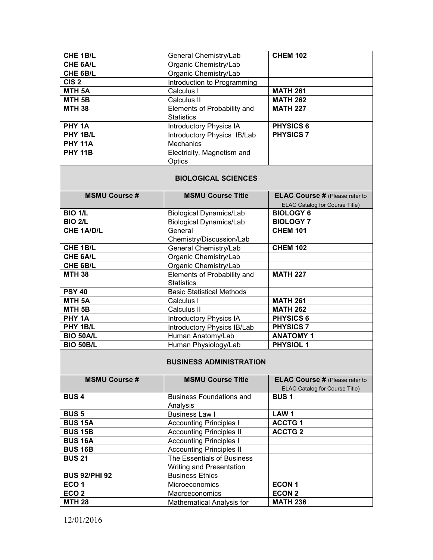| CHE 1B/L          | General Chemistry/Lab          | <b>CHEM 102</b>  |
|-------------------|--------------------------------|------------------|
| CHE 6A/L          | Organic Chemistry/Lab          |                  |
| CHE 6B/L          | Organic Chemistry/Lab          |                  |
| CIS <sub>2</sub>  | Introduction to Programming    |                  |
| MTH <sub>5A</sub> | Calculus I                     | <b>MATH 261</b>  |
| MTH <sub>5B</sub> | Calculus II                    | <b>MATH 262</b>  |
| <b>MTH 38</b>     | Elements of Probability and    | <b>MATH 227</b>  |
|                   | <b>Statistics</b>              |                  |
| PHY 1A            | <b>Introductory Physics IA</b> | <b>PHYSICS 6</b> |
| PHY 1B/L          | Introductory Physics IB/Lab    | <b>PHYSICS 7</b> |
| <b>PHY 11A</b>    | <b>Mechanics</b>               |                  |
| <b>PHY 11B</b>    | Electricity, Magnetism and     |                  |
|                   | Optics                         |                  |

### **BIOLOGICAL SCIENCES**

| <b>MSMU Course#</b> | <b>MSMU Course Title</b>         | <b>ELAC Course # (Please refer to</b> |
|---------------------|----------------------------------|---------------------------------------|
|                     |                                  | ELAC Catalog for Course Title)        |
| <b>BIO 1/L</b>      | <b>Biological Dynamics/Lab</b>   | <b>BIOLOGY 6</b>                      |
| <b>BIO 2/L</b>      | <b>Biological Dynamics/Lab</b>   | <b>BIOLOGY 7</b>                      |
| <b>CHE 1A/D/L</b>   | General                          | <b>CHEM 101</b>                       |
|                     | Chemistry/Discussion/Lab         |                                       |
| CHE 1B/L            | General Chemistry/Lab            | <b>CHEM 102</b>                       |
| CHE 6A/L            | Organic Chemistry/Lab            |                                       |
| CHE 6B/L            | Organic Chemistry/Lab            |                                       |
| <b>MTH 38</b>       | Elements of Probability and      | <b>MATH 227</b>                       |
|                     | <b>Statistics</b>                |                                       |
| <b>PSY 40</b>       | <b>Basic Statistical Methods</b> |                                       |
| MTH <sub>5A</sub>   | Calculus I                       | <b>MATH 261</b>                       |
| MTH <sub>5B</sub>   | Calculus II                      | <b>MATH 262</b>                       |
| PHY 1A              | <b>Introductory Physics IA</b>   | <b>PHYSICS 6</b>                      |
| PHY 1B/L            | Introductory Physics IB/Lab      | <b>PHYSICS 7</b>                      |
| <b>BIO 50A/L</b>    | Human Anatomy/Lab                | <b>ANATOMY 1</b>                      |
| <b>BIO 50B/L</b>    | Human Physiology/Lab             | <b>PHYSIOL 1</b>                      |

# **BUSINESS ADMINISTRATION**

| <b>MSMU Course #</b> | <b>MSMU Course Title</b>         | <b>ELAC Course # (Please refer to</b> |
|----------------------|----------------------------------|---------------------------------------|
|                      |                                  | ELAC Catalog for Course Title)        |
| <b>BUS4</b>          | <b>Business Foundations and</b>  | <b>BUS1</b>                           |
|                      | Analysis                         |                                       |
| <b>BUS5</b>          | <b>Business Law I</b>            | LAW <sub>1</sub>                      |
| <b>BUS 15A</b>       | <b>Accounting Principles I</b>   | <b>ACCTG1</b>                         |
| <b>BUS 15B</b>       | <b>Accounting Principles II</b>  | <b>ACCTG2</b>                         |
| <b>BUS 16A</b>       | <b>Accounting Principles I</b>   |                                       |
| <b>BUS 16B</b>       | <b>Accounting Principles II</b>  |                                       |
| <b>BUS 21</b>        | The Essentials of Business       |                                       |
|                      | Writing and Presentation         |                                       |
| <b>BUS 92/PHI 92</b> | <b>Business Ethics</b>           |                                       |
| ECO <sub>1</sub>     | <b>Microeconomics</b>            | <b>ECON1</b>                          |
| ECO <sub>2</sub>     | <b>Macroeconomics</b>            | <b>ECON 2</b>                         |
| <b>MTH 28</b>        | <b>Mathematical Analysis for</b> | <b>MATH 236</b>                       |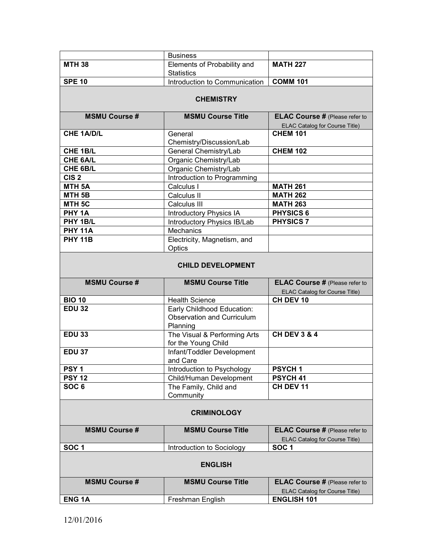| <b>MTH 38</b><br>Elements of Probability and<br><b>MATH 227</b><br><b>Statistics</b><br>Introduction to Communication<br><b>SPE 10</b><br><b>COMM 101</b><br><b>CHEMISTRY</b><br><b>MSMU Course#</b><br><b>MSMU Course Title</b><br><b>ELAC Course # (Please refer to</b><br><b>ELAC Catalog for Course Title)</b><br>General<br><b>CHE 1A/D/L</b><br><b>CHEM 101</b><br>Chemistry/Discussion/Lab<br>CHE 1B/L<br>General Chemistry/Lab<br><b>CHEM 102</b><br>CHE 6A/L<br>Organic Chemistry/Lab<br>Organic Chemistry/Lab<br>CHE 6B/L<br>CIS <sub>2</sub><br>Introduction to Programming<br>MTH <sub>5A</sub><br><b>MATH 261</b><br>Calculus I<br>MTH <sub>5B</sub><br>Calculus II<br><b>MATH 262</b><br>MTH <sub>5C</sub><br><b>MATH 263</b><br>Calculus III<br>PHY <sub>1A</sub><br><b>Introductory Physics IA</b><br><b>PHYSICS 6</b><br>PHY 1B/L<br>Introductory Physics IB/Lab<br><b>PHYSICS 7</b><br><b>PHY 11A</b><br><b>Mechanics</b><br>Electricity, Magnetism, and<br><b>PHY 11B</b><br>Optics<br><b>CHILD DEVELOPMENT</b><br><b>MSMU Course #</b><br><b>MSMU Course Title</b><br><b>ELAC Course # (Please refer to</b><br><b>ELAC Catalog for Course Title)</b><br>CH DEV 10<br><b>BIO 10</b><br><b>Health Science</b><br><b>EDU 32</b><br>Early Childhood Education:<br><b>Observation and Curriculum</b><br>Planning<br><b>EDU 33</b><br><b>CH DEV 3 &amp; 4</b><br>The Visual & Performing Arts<br>for the Young Child<br>Infant/Toddler Development<br><b>EDU 37</b><br>and Care<br>Introduction to Psychology<br>PSYCH <sub>1</sub><br>PSY <sub>1</sub><br><b>PSY 12</b><br>PSYCH 41<br>Child/Human Development<br>CH DEV 11<br>SOC <sub>6</sub><br>The Family, Child and<br>Community<br><b>CRIMINOLOGY</b><br><b>MSMU Course #</b><br><b>MSMU Course Title</b><br><b>ELAC Course # (Please refer to</b><br>ELAC Catalog for Course Title)<br>SOC <sub>1</sub><br>SOC <sub>1</sub><br>Introduction to Sociology<br><b>ENGLISH</b><br><b>MSMU Course #</b><br><b>MSMU Course Title</b><br><b>ELAC Course # (Please refer to</b><br><b>ELAC Catalog for Course Title)</b><br><b>ENG1A</b><br><b>ENGLISH 101</b><br>Freshman English |  | <b>Business</b> |  |  |  |
|--------------------------------------------------------------------------------------------------------------------------------------------------------------------------------------------------------------------------------------------------------------------------------------------------------------------------------------------------------------------------------------------------------------------------------------------------------------------------------------------------------------------------------------------------------------------------------------------------------------------------------------------------------------------------------------------------------------------------------------------------------------------------------------------------------------------------------------------------------------------------------------------------------------------------------------------------------------------------------------------------------------------------------------------------------------------------------------------------------------------------------------------------------------------------------------------------------------------------------------------------------------------------------------------------------------------------------------------------------------------------------------------------------------------------------------------------------------------------------------------------------------------------------------------------------------------------------------------------------------------------------------------------------------------------------------------------------------------------------------------------------------------------------------------------------------------------------------------------------------------------------------------------------------------------------------------------------------------------------------------------------------------------------------------------------------------------------------------------------------------------------------------------|--|-----------------|--|--|--|
|                                                                                                                                                                                                                                                                                                                                                                                                                                                                                                                                                                                                                                                                                                                                                                                                                                                                                                                                                                                                                                                                                                                                                                                                                                                                                                                                                                                                                                                                                                                                                                                                                                                                                                                                                                                                                                                                                                                                                                                                                                                                                                                                                  |  |                 |  |  |  |
|                                                                                                                                                                                                                                                                                                                                                                                                                                                                                                                                                                                                                                                                                                                                                                                                                                                                                                                                                                                                                                                                                                                                                                                                                                                                                                                                                                                                                                                                                                                                                                                                                                                                                                                                                                                                                                                                                                                                                                                                                                                                                                                                                  |  |                 |  |  |  |
|                                                                                                                                                                                                                                                                                                                                                                                                                                                                                                                                                                                                                                                                                                                                                                                                                                                                                                                                                                                                                                                                                                                                                                                                                                                                                                                                                                                                                                                                                                                                                                                                                                                                                                                                                                                                                                                                                                                                                                                                                                                                                                                                                  |  |                 |  |  |  |
|                                                                                                                                                                                                                                                                                                                                                                                                                                                                                                                                                                                                                                                                                                                                                                                                                                                                                                                                                                                                                                                                                                                                                                                                                                                                                                                                                                                                                                                                                                                                                                                                                                                                                                                                                                                                                                                                                                                                                                                                                                                                                                                                                  |  |                 |  |  |  |
|                                                                                                                                                                                                                                                                                                                                                                                                                                                                                                                                                                                                                                                                                                                                                                                                                                                                                                                                                                                                                                                                                                                                                                                                                                                                                                                                                                                                                                                                                                                                                                                                                                                                                                                                                                                                                                                                                                                                                                                                                                                                                                                                                  |  |                 |  |  |  |
|                                                                                                                                                                                                                                                                                                                                                                                                                                                                                                                                                                                                                                                                                                                                                                                                                                                                                                                                                                                                                                                                                                                                                                                                                                                                                                                                                                                                                                                                                                                                                                                                                                                                                                                                                                                                                                                                                                                                                                                                                                                                                                                                                  |  |                 |  |  |  |
|                                                                                                                                                                                                                                                                                                                                                                                                                                                                                                                                                                                                                                                                                                                                                                                                                                                                                                                                                                                                                                                                                                                                                                                                                                                                                                                                                                                                                                                                                                                                                                                                                                                                                                                                                                                                                                                                                                                                                                                                                                                                                                                                                  |  |                 |  |  |  |
|                                                                                                                                                                                                                                                                                                                                                                                                                                                                                                                                                                                                                                                                                                                                                                                                                                                                                                                                                                                                                                                                                                                                                                                                                                                                                                                                                                                                                                                                                                                                                                                                                                                                                                                                                                                                                                                                                                                                                                                                                                                                                                                                                  |  |                 |  |  |  |
|                                                                                                                                                                                                                                                                                                                                                                                                                                                                                                                                                                                                                                                                                                                                                                                                                                                                                                                                                                                                                                                                                                                                                                                                                                                                                                                                                                                                                                                                                                                                                                                                                                                                                                                                                                                                                                                                                                                                                                                                                                                                                                                                                  |  |                 |  |  |  |
|                                                                                                                                                                                                                                                                                                                                                                                                                                                                                                                                                                                                                                                                                                                                                                                                                                                                                                                                                                                                                                                                                                                                                                                                                                                                                                                                                                                                                                                                                                                                                                                                                                                                                                                                                                                                                                                                                                                                                                                                                                                                                                                                                  |  |                 |  |  |  |
|                                                                                                                                                                                                                                                                                                                                                                                                                                                                                                                                                                                                                                                                                                                                                                                                                                                                                                                                                                                                                                                                                                                                                                                                                                                                                                                                                                                                                                                                                                                                                                                                                                                                                                                                                                                                                                                                                                                                                                                                                                                                                                                                                  |  |                 |  |  |  |
|                                                                                                                                                                                                                                                                                                                                                                                                                                                                                                                                                                                                                                                                                                                                                                                                                                                                                                                                                                                                                                                                                                                                                                                                                                                                                                                                                                                                                                                                                                                                                                                                                                                                                                                                                                                                                                                                                                                                                                                                                                                                                                                                                  |  |                 |  |  |  |
|                                                                                                                                                                                                                                                                                                                                                                                                                                                                                                                                                                                                                                                                                                                                                                                                                                                                                                                                                                                                                                                                                                                                                                                                                                                                                                                                                                                                                                                                                                                                                                                                                                                                                                                                                                                                                                                                                                                                                                                                                                                                                                                                                  |  |                 |  |  |  |
|                                                                                                                                                                                                                                                                                                                                                                                                                                                                                                                                                                                                                                                                                                                                                                                                                                                                                                                                                                                                                                                                                                                                                                                                                                                                                                                                                                                                                                                                                                                                                                                                                                                                                                                                                                                                                                                                                                                                                                                                                                                                                                                                                  |  |                 |  |  |  |
|                                                                                                                                                                                                                                                                                                                                                                                                                                                                                                                                                                                                                                                                                                                                                                                                                                                                                                                                                                                                                                                                                                                                                                                                                                                                                                                                                                                                                                                                                                                                                                                                                                                                                                                                                                                                                                                                                                                                                                                                                                                                                                                                                  |  |                 |  |  |  |
|                                                                                                                                                                                                                                                                                                                                                                                                                                                                                                                                                                                                                                                                                                                                                                                                                                                                                                                                                                                                                                                                                                                                                                                                                                                                                                                                                                                                                                                                                                                                                                                                                                                                                                                                                                                                                                                                                                                                                                                                                                                                                                                                                  |  |                 |  |  |  |
|                                                                                                                                                                                                                                                                                                                                                                                                                                                                                                                                                                                                                                                                                                                                                                                                                                                                                                                                                                                                                                                                                                                                                                                                                                                                                                                                                                                                                                                                                                                                                                                                                                                                                                                                                                                                                                                                                                                                                                                                                                                                                                                                                  |  |                 |  |  |  |
|                                                                                                                                                                                                                                                                                                                                                                                                                                                                                                                                                                                                                                                                                                                                                                                                                                                                                                                                                                                                                                                                                                                                                                                                                                                                                                                                                                                                                                                                                                                                                                                                                                                                                                                                                                                                                                                                                                                                                                                                                                                                                                                                                  |  |                 |  |  |  |
|                                                                                                                                                                                                                                                                                                                                                                                                                                                                                                                                                                                                                                                                                                                                                                                                                                                                                                                                                                                                                                                                                                                                                                                                                                                                                                                                                                                                                                                                                                                                                                                                                                                                                                                                                                                                                                                                                                                                                                                                                                                                                                                                                  |  |                 |  |  |  |
|                                                                                                                                                                                                                                                                                                                                                                                                                                                                                                                                                                                                                                                                                                                                                                                                                                                                                                                                                                                                                                                                                                                                                                                                                                                                                                                                                                                                                                                                                                                                                                                                                                                                                                                                                                                                                                                                                                                                                                                                                                                                                                                                                  |  |                 |  |  |  |
|                                                                                                                                                                                                                                                                                                                                                                                                                                                                                                                                                                                                                                                                                                                                                                                                                                                                                                                                                                                                                                                                                                                                                                                                                                                                                                                                                                                                                                                                                                                                                                                                                                                                                                                                                                                                                                                                                                                                                                                                                                                                                                                                                  |  |                 |  |  |  |
|                                                                                                                                                                                                                                                                                                                                                                                                                                                                                                                                                                                                                                                                                                                                                                                                                                                                                                                                                                                                                                                                                                                                                                                                                                                                                                                                                                                                                                                                                                                                                                                                                                                                                                                                                                                                                                                                                                                                                                                                                                                                                                                                                  |  |                 |  |  |  |
|                                                                                                                                                                                                                                                                                                                                                                                                                                                                                                                                                                                                                                                                                                                                                                                                                                                                                                                                                                                                                                                                                                                                                                                                                                                                                                                                                                                                                                                                                                                                                                                                                                                                                                                                                                                                                                                                                                                                                                                                                                                                                                                                                  |  |                 |  |  |  |
|                                                                                                                                                                                                                                                                                                                                                                                                                                                                                                                                                                                                                                                                                                                                                                                                                                                                                                                                                                                                                                                                                                                                                                                                                                                                                                                                                                                                                                                                                                                                                                                                                                                                                                                                                                                                                                                                                                                                                                                                                                                                                                                                                  |  |                 |  |  |  |
|                                                                                                                                                                                                                                                                                                                                                                                                                                                                                                                                                                                                                                                                                                                                                                                                                                                                                                                                                                                                                                                                                                                                                                                                                                                                                                                                                                                                                                                                                                                                                                                                                                                                                                                                                                                                                                                                                                                                                                                                                                                                                                                                                  |  |                 |  |  |  |
|                                                                                                                                                                                                                                                                                                                                                                                                                                                                                                                                                                                                                                                                                                                                                                                                                                                                                                                                                                                                                                                                                                                                                                                                                                                                                                                                                                                                                                                                                                                                                                                                                                                                                                                                                                                                                                                                                                                                                                                                                                                                                                                                                  |  |                 |  |  |  |
|                                                                                                                                                                                                                                                                                                                                                                                                                                                                                                                                                                                                                                                                                                                                                                                                                                                                                                                                                                                                                                                                                                                                                                                                                                                                                                                                                                                                                                                                                                                                                                                                                                                                                                                                                                                                                                                                                                                                                                                                                                                                                                                                                  |  |                 |  |  |  |
|                                                                                                                                                                                                                                                                                                                                                                                                                                                                                                                                                                                                                                                                                                                                                                                                                                                                                                                                                                                                                                                                                                                                                                                                                                                                                                                                                                                                                                                                                                                                                                                                                                                                                                                                                                                                                                                                                                                                                                                                                                                                                                                                                  |  |                 |  |  |  |
|                                                                                                                                                                                                                                                                                                                                                                                                                                                                                                                                                                                                                                                                                                                                                                                                                                                                                                                                                                                                                                                                                                                                                                                                                                                                                                                                                                                                                                                                                                                                                                                                                                                                                                                                                                                                                                                                                                                                                                                                                                                                                                                                                  |  |                 |  |  |  |
|                                                                                                                                                                                                                                                                                                                                                                                                                                                                                                                                                                                                                                                                                                                                                                                                                                                                                                                                                                                                                                                                                                                                                                                                                                                                                                                                                                                                                                                                                                                                                                                                                                                                                                                                                                                                                                                                                                                                                                                                                                                                                                                                                  |  |                 |  |  |  |
|                                                                                                                                                                                                                                                                                                                                                                                                                                                                                                                                                                                                                                                                                                                                                                                                                                                                                                                                                                                                                                                                                                                                                                                                                                                                                                                                                                                                                                                                                                                                                                                                                                                                                                                                                                                                                                                                                                                                                                                                                                                                                                                                                  |  |                 |  |  |  |
|                                                                                                                                                                                                                                                                                                                                                                                                                                                                                                                                                                                                                                                                                                                                                                                                                                                                                                                                                                                                                                                                                                                                                                                                                                                                                                                                                                                                                                                                                                                                                                                                                                                                                                                                                                                                                                                                                                                                                                                                                                                                                                                                                  |  |                 |  |  |  |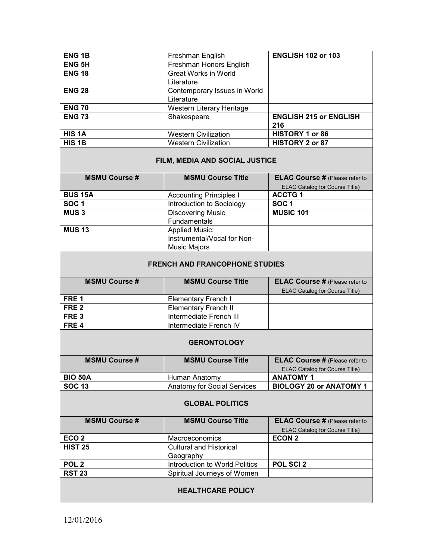| <b>ENG1B</b>      | Freshman English             | <b>ENGLISH 102 or 103</b>     |
|-------------------|------------------------------|-------------------------------|
| <b>ENG 5H</b>     | Freshman Honors English      |                               |
| <b>ENG 18</b>     | <b>Great Works in World</b>  |                               |
|                   | Literature                   |                               |
| <b>ENG 28</b>     | Contemporary Issues in World |                               |
|                   | Literature                   |                               |
| <b>ENG 70</b>     | Western Literary Heritage    |                               |
| <b>ENG 73</b>     | Shakespeare                  | <b>ENGLISH 215 or ENGLISH</b> |
|                   |                              | 216                           |
| HIS 1A            | <b>Western Civilization</b>  | HISTORY 1 or 86               |
| HIS <sub>1B</sub> | <b>Western Civilization</b>  | HISTORY 2 or 87               |

# **FILM, MEDIA AND SOCIAL JUSTICE**

| <b>MSMU Course #</b> | <b>MSMU Course Title</b>       | <b>ELAC Course # (Please refer to</b> |
|----------------------|--------------------------------|---------------------------------------|
|                      |                                | <b>ELAC Catalog for Course Title)</b> |
| <b>BUS 15A</b>       | <b>Accounting Principles I</b> | <b>ACCTG1</b>                         |
| <b>SOC1</b>          | Introduction to Sociology      | SOC <sub>1</sub>                      |
| <b>MUS3</b>          | <b>Discovering Music</b>       | <b>MUSIC 101</b>                      |
|                      | Fundamentals                   |                                       |
| <b>MUS 13</b>        | <b>Applied Music:</b>          |                                       |
|                      | Instrumental/Vocal for Non-    |                                       |
|                      | <b>Music Majors</b>            |                                       |

### **FRENCH AND FRANCOPHONE STUDIES**

| <b>MSMU Course #</b> | <b>MSMU Course Title</b> | <b>ELAC Course # (Please refer to</b> |
|----------------------|--------------------------|---------------------------------------|
|                      |                          | <b>ELAC Catalog for Course Title)</b> |
| FRE <sub>1</sub>     | Elementary French I      |                                       |
| FRE <sub>2</sub>     | Elementary French II     |                                       |
| FRE <sub>3</sub>     | Intermediate French III  |                                       |
| FRE <sub>4</sub>     | Intermediate French IV   |                                       |

# **GERONTOLOGY**

| <b>MSMU Course #</b> | <b>MSMU Course Title</b>    | <b>ELAC Course # (Please refer to</b> |
|----------------------|-----------------------------|---------------------------------------|
|                      |                             | ELAC Catalog for Course Title)        |
| <b>BIO 50A</b>       | Human Anatomy               | <b>ANATOMY 1</b>                      |
| <b>SOC 13</b>        | Anatomy for Social Services | <b>BIOLOGY 20 or ANATOMY 1</b>        |

# **GLOBAL POLITICS**

| <b>MSMU Course #</b> | <b>MSMU Course Title</b>       | <b>ELAC Course # (Please refer to</b> |
|----------------------|--------------------------------|---------------------------------------|
|                      |                                | ELAC Catalog for Course Title)        |
| ECO <sub>2</sub>     | <b>Macroeconomics</b>          | <b>ECON 2</b>                         |
| <b>HIST 25</b>       | <b>Cultural and Historical</b> |                                       |
|                      | Geography                      |                                       |
| POL <sub>2</sub>     | Introduction to World Politics | <b>POL SCI 2</b>                      |
| <b>RST 23</b>        | Spiritual Journeys of Women    |                                       |
|                      |                                |                                       |
|                      | <b>HEALTHCARE POLICY</b>       |                                       |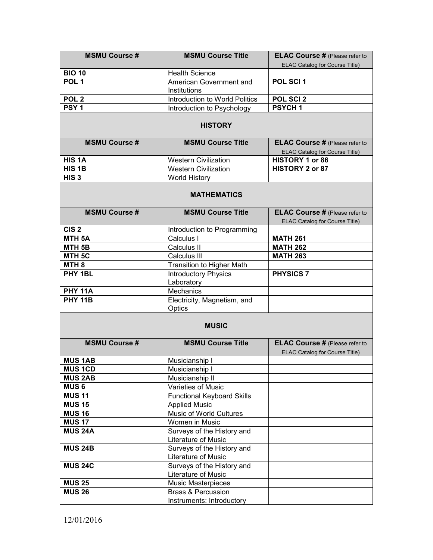| <b>MSMU Course #</b>       | <b>MSMU Course Title</b>                                   | <b>ELAC Course # (Please refer to</b>                                          |
|----------------------------|------------------------------------------------------------|--------------------------------------------------------------------------------|
|                            |                                                            | <b>ELAC Catalog for Course Title)</b>                                          |
| <b>BIO 10</b>              | <b>Health Science</b>                                      |                                                                                |
| POL <sub>1</sub>           | American Government and                                    | POL SCI 1                                                                      |
|                            | Institutions                                               |                                                                                |
| POL <sub>2</sub>           | Introduction to World Politics                             | POL SCI 2                                                                      |
| PSY <sub>1</sub>           | Introduction to Psychology                                 | <b>PSYCH1</b>                                                                  |
|                            | <b>HISTORY</b>                                             |                                                                                |
| <b>MSMU Course#</b>        | <b>MSMU Course Title</b>                                   | <b>ELAC Course # (Please refer to</b>                                          |
| HIS <sub>1</sub> A         |                                                            | ELAC Catalog for Course Title)<br>HISTORY 1 or 86                              |
|                            | <b>Western Civilization</b><br><b>Western Civilization</b> |                                                                                |
| HIS 1B<br>HIS <sub>3</sub> |                                                            | HISTORY 2 or 87                                                                |
|                            | <b>World History</b>                                       |                                                                                |
|                            | <b>MATHEMATICS</b>                                         |                                                                                |
| <b>MSMU Course #</b>       | <b>MSMU Course Title</b>                                   | <b>ELAC Course # (Please refer to</b>                                          |
| CIS <sub>2</sub>           | Introduction to Programming                                | <b>ELAC Catalog for Course Title)</b>                                          |
| MTH <sub>5A</sub>          | Calculus I                                                 | <b>MATH 261</b>                                                                |
| MTH <sub>5B</sub>          | Calculus II                                                | <b>MATH 262</b>                                                                |
| MTH <sub>5C</sub>          | Calculus III                                               | <b>MATH 263</b>                                                                |
| MTH <sub>8</sub>           | <b>Transition to Higher Math</b>                           |                                                                                |
| PHY 1BL                    | <b>Introductory Physics</b>                                | <b>PHYSICS 7</b>                                                               |
|                            | Laboratory                                                 |                                                                                |
| <b>PHY 11A</b>             | Mechanics                                                  |                                                                                |
| <b>PHY 11B</b>             | Electricity, Magnetism, and                                |                                                                                |
|                            | Optics                                                     |                                                                                |
|                            | <b>MUSIC</b>                                               |                                                                                |
| <b>MSMU Course #</b>       | <b>MSMU Course Title</b>                                   | <b>ELAC Course # (Please refer to</b><br><b>ELAC Catalog for Course Title)</b> |
| <b>MUS 1AB</b>             | Musicianship I                                             |                                                                                |
| <b>MUS 1CD</b>             | Musicianship I                                             |                                                                                |
| <b>MUS 2AB</b>             | Musicianship II                                            |                                                                                |
| <b>MUS6</b>                | Varieties of Music                                         |                                                                                |
| <b>MUS 11</b>              | <b>Functional Keyboard Skills</b>                          |                                                                                |
| <b>MUS 15</b>              | <b>Applied Music</b>                                       |                                                                                |
| <b>MUS 16</b>              | Music of World Cultures                                    |                                                                                |
| <b>MUS 17</b>              | Women in Music                                             |                                                                                |
| <b>MUS 24A</b>             | Surveys of the History and                                 |                                                                                |
|                            | Literature of Music                                        |                                                                                |
| <b>MUS 24B</b>             | Surveys of the History and                                 |                                                                                |
|                            | Literature of Music                                        |                                                                                |
| <b>MUS 24C</b>             | Surveys of the History and                                 |                                                                                |
|                            | Literature of Music                                        |                                                                                |
| <b>MUS 25</b>              | Music Masterpieces                                         |                                                                                |
| <b>MUS 26</b>              | <b>Brass &amp; Percussion</b>                              |                                                                                |
|                            | Instruments: Introductory                                  |                                                                                |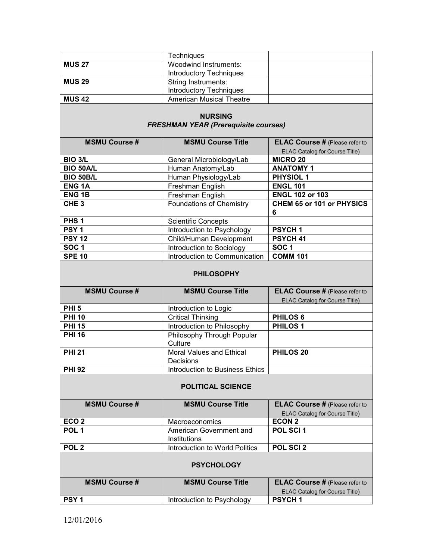|               | <b>Techniques</b>              |  |
|---------------|--------------------------------|--|
| <b>MUS 27</b> | Woodwind Instruments:          |  |
|               | Introductory Techniques        |  |
| <b>MUS 29</b> | <b>String Instruments:</b>     |  |
|               | <b>Introductory Techniques</b> |  |
| <b>MUS 42</b> | American Musical Theatre       |  |

# **NURSING**  *FRESHMAN YEAR (Prerequisite courses)*

| <b>MSMU Course #</b>    | <b>MSMU Course Title</b>        | <b>ELAC Course # (Please refer to</b> |
|-------------------------|---------------------------------|---------------------------------------|
|                         |                                 | ELAC Catalog for Course Title)        |
| <b>BIO 3/L</b>          | General Microbiology/Lab        | <b>MICRO 20</b>                       |
| <b>BIO 50A/L</b>        | Human Anatomy/Lab               | <b>ANATOMY 1</b>                      |
| <b>BIO 50B/L</b>        | Human Physiology/Lab            | <b>PHYSIOL 1</b>                      |
| <b>ENG<sub>1</sub>A</b> | Freshman English                | <b>ENGL 101</b>                       |
| <b>ENG1B</b>            | Freshman English                | <b>ENGL 102 or 103</b>                |
| CHE <sub>3</sub>        | <b>Foundations of Chemistry</b> | CHEM 65 or 101 or PHYSICS             |
|                         |                                 | 6                                     |
| PHS <sub>1</sub>        | <b>Scientific Concepts</b>      |                                       |
| PSY <sub>1</sub>        | Introduction to Psychology      | <b>PSYCH1</b>                         |
| <b>PSY 12</b>           | Child/Human Development         | PSYCH 41                              |
| <b>SOC1</b>             | Introduction to Sociology       | <b>SOC1</b>                           |
| <b>SPE 10</b>           | Introduction to Communication   | <b>COMM 101</b>                       |

# **PHILOSOPHY**

| <b>MSMU Course #</b> | <b>MSMU Course Title</b>        | <b>ELAC Course # (Please refer to</b> |
|----------------------|---------------------------------|---------------------------------------|
|                      |                                 | ELAC Catalog for Course Title)        |
| PHI <sub>5</sub>     | Introduction to Logic           |                                       |
| <b>PHI 10</b>        | <b>Critical Thinking</b>        | <b>PHILOS 6</b>                       |
| <b>PHI 15</b>        | Introduction to Philosophy      | <b>PHILOS1</b>                        |
| <b>PHI 16</b>        | Philosophy Through Popular      |                                       |
|                      | Culture                         |                                       |
| <b>PHI 21</b>        | Moral Values and Ethical        | <b>PHILOS 20</b>                      |
|                      | Decisions                       |                                       |
| <b>PHI 92</b>        | Introduction to Business Ethics |                                       |

# **POLITICAL SCIENCE**

| <b>MSMU Course #</b> | <b>MSMU Course Title</b>       | <b>ELAC Course # (Please refer to</b> |
|----------------------|--------------------------------|---------------------------------------|
|                      |                                | <b>ELAC Catalog for Course Title)</b> |
| ECO <sub>2</sub>     | Macroeconomics                 | <b>ECON 2</b>                         |
| POL <sub>1</sub>     | American Government and        | <b>POL SCI 1</b>                      |
|                      | Institutions                   |                                       |
| POL <sub>2</sub>     | Introduction to World Politics | <b>POL SCI 2</b>                      |

| <b>PSYCHOLOGY</b>    |                            |                                        |
|----------------------|----------------------------|----------------------------------------|
| <b>MSMU Course #</b> | <b>MSMU Course Title</b>   | <b>ELAC Course # (Please refer to)</b> |
|                      |                            | <b>ELAC Catalog for Course Title)</b>  |
| <b>PSY1</b>          | Introduction to Psychology | <b>PSYCH 1</b>                         |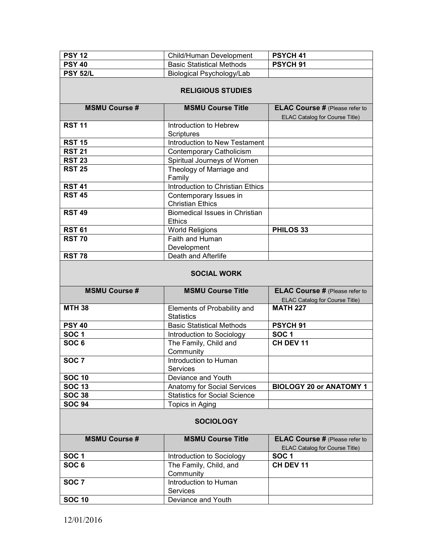| <b>PSY 12</b>        | Child/Human Development               | PSYCH 41                                                                |
|----------------------|---------------------------------------|-------------------------------------------------------------------------|
| <b>PSY 40</b>        | <b>Basic Statistical Methods</b>      | PSYCH <sub>91</sub>                                                     |
| <b>PSY 52/L</b>      | Biological Psychology/Lab             |                                                                         |
|                      |                                       |                                                                         |
|                      | <b>RELIGIOUS STUDIES</b>              |                                                                         |
| <b>MSMU Course #</b> | <b>MSMU Course Title</b>              | <b>ELAC Course # (Please refer to</b><br>ELAC Catalog for Course Title) |
| <b>RST 11</b>        | Introduction to Hebrew<br>Scriptures  |                                                                         |
| <b>RST 15</b>        | Introduction to New Testament         |                                                                         |
| <b>RST 21</b>        | Contemporary Catholicism              |                                                                         |
| <b>RST 23</b>        | Spiritual Journeys of Women           |                                                                         |
| <b>RST 25</b>        | Theology of Marriage and              |                                                                         |
|                      | Family                                |                                                                         |
| <b>RST 41</b>        | Introduction to Christian Ethics      |                                                                         |
| <b>RST 45</b>        | Contemporary Issues in                |                                                                         |
|                      | <b>Christian Ethics</b>               |                                                                         |
| <b>RST 49</b>        | <b>Biomedical Issues in Christian</b> |                                                                         |
|                      | <b>Ethics</b>                         |                                                                         |
| <b>RST 61</b>        | <b>World Religions</b>                | <b>PHILOS 33</b>                                                        |
| <b>RST 70</b>        | Faith and Human                       |                                                                         |
|                      | Development                           |                                                                         |
| <b>RST 78</b>        | Death and Afterlife                   |                                                                         |
| <b>SOCIAL WORK</b>   |                                       |                                                                         |
|                      |                                       |                                                                         |
| <b>MSMU Course #</b> | <b>MSMU Course Title</b>              | <b>ELAC Course # (Please refer to</b>                                   |
| <b>MTH 38</b>        | Elements of Probability and           | <b>ELAC Catalog for Course Title)</b><br><b>MATH 227</b>                |
|                      | <b>Statistics</b>                     |                                                                         |
| <b>PSY 40</b>        | <b>Basic Statistical Methods</b>      | PSYCH <sub>91</sub>                                                     |
| <b>SOC1</b>          | Introduction to Sociology             | <b>SOC1</b>                                                             |
| SOC <sub>6</sub>     | The Family, Child and<br>Community    | CH DEV 11                                                               |
| SOC <sub>7</sub>     | Introduction to Human                 |                                                                         |
|                      | Services                              |                                                                         |
| <b>SOC 10</b>        | Deviance and Youth                    |                                                                         |
| <b>SOC 13</b>        | <b>Anatomy for Social Services</b>    | <b>BIOLOGY 20 or ANATOMY 1</b>                                          |
| <b>SOC 38</b>        | <b>Statistics for Social Science</b>  |                                                                         |
| <b>SOC 94</b>        | Topics in Aging                       |                                                                         |
|                      | <b>SOCIOLOGY</b>                      |                                                                         |
| <b>MSMU Course #</b> | <b>MSMU Course Title</b>              | <b>ELAC Course # (Please refer to</b>                                   |
|                      |                                       | ELAC Catalog for Course Title)                                          |
| SOC <sub>1</sub>     | Introduction to Sociology             | <b>SOC1</b>                                                             |
| SOC <sub>6</sub>     | The Family, Child, and<br>Community   | CH DEV 11                                                               |
| SOC <sub>7</sub>     | Introduction to Human                 |                                                                         |
|                      | Services                              |                                                                         |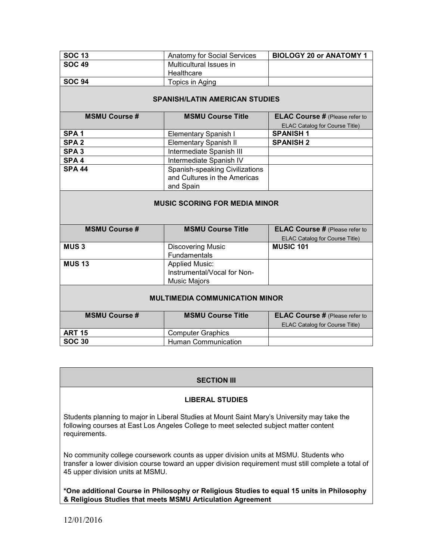| <b>SOC 13</b> | Anatomy for Social Services | <b>BIOLOGY 20 or ANATOMY 1</b> |
|---------------|-----------------------------|--------------------------------|
| <b>SOC 49</b> | Multicultural Issues in     |                                |
|               | Healthcare                  |                                |
| <b>SOC 94</b> | Topics in Aging             |                                |

#### **SPANISH/LATIN AMERICAN STUDIES**

| <b>MSMU Course #</b> | <b>MSMU Course Title</b>       | <b>ELAC Course # (Please refer to</b> |
|----------------------|--------------------------------|---------------------------------------|
|                      |                                | <b>ELAC Catalog for Course Title)</b> |
| SPA <sub>1</sub>     | <b>Elementary Spanish I</b>    | <b>SPANISH1</b>                       |
| SPA <sub>2</sub>     | <b>Elementary Spanish II</b>   | <b>SPANISH 2</b>                      |
| SPA <sub>3</sub>     | Intermediate Spanish III       |                                       |
| SPA <sub>4</sub>     | Intermediate Spanish IV        |                                       |
| <b>SPA 44</b>        | Spanish-speaking Civilizations |                                       |
|                      | and Cultures in the Americas   |                                       |
|                      | and Spain                      |                                       |

# **MUSIC SCORING FOR MEDIA MINOR**

| <b>MSMU Course #</b>                  | <b>MSMU Course Title</b>    | <b>ELAC Course # (Please refer to</b> |
|---------------------------------------|-----------------------------|---------------------------------------|
|                                       |                             | <b>ELAC Catalog for Course Title)</b> |
| <b>MUS3</b>                           | <b>Discovering Music</b>    | <b>MUSIC 101</b>                      |
|                                       | <b>Fundamentals</b>         |                                       |
| <b>MUS 13</b>                         | <b>Applied Music:</b>       |                                       |
|                                       | Instrumental/Vocal for Non- |                                       |
|                                       | Music Majors                |                                       |
|                                       |                             |                                       |
| <b>MULTIMEDIA COMMUNICATION MINOR</b> |                             |                                       |
|                                       |                             |                                       |
| <b>MSMU Course #</b>                  | <b>MSMU Course Title</b>    | <b>ELAC Course # (Please refer to</b> |
|                                       |                             | <b>ELAC Catalog for Course Title)</b> |

# **SECTION III**

**ART 15** Computer Graphics **SOC 30** Human Communication

#### **LIBERAL STUDIES**

Students planning to major in Liberal Studies at Mount Saint Mary's University may take the following courses at East Los Angeles College to meet selected subject matter content requirements.

No community college coursework counts as upper division units at MSMU. Students who transfer a lower division course toward an upper division requirement must still complete a total of 45 upper division units at MSMU.

**\*One additional Course in Philosophy or Religious Studies to equal 15 units in Philosophy & Religious Studies that meets MSMU Articulation Agreement**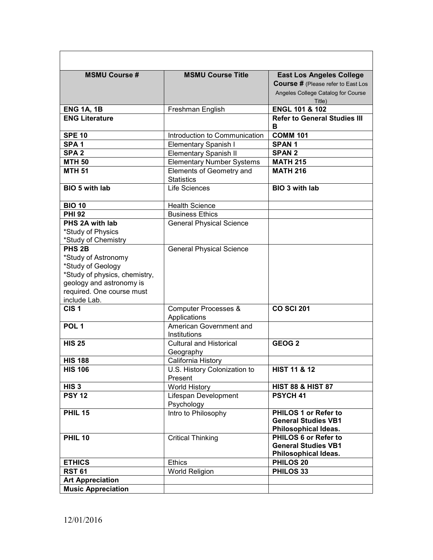| <b>MSMU Course #</b>                                                                                                                                                    | <b>MSMU Course Title</b>                      | <b>East Los Angeles College</b><br><b>Course # (Please refer to East Los</b><br>Angeles College Catalog for Course<br>Title) |
|-------------------------------------------------------------------------------------------------------------------------------------------------------------------------|-----------------------------------------------|------------------------------------------------------------------------------------------------------------------------------|
| <b>ENG 1A, 1B</b>                                                                                                                                                       | Freshman English                              | <b>ENGL 101 &amp; 102</b>                                                                                                    |
| <b>ENG Literature</b>                                                                                                                                                   |                                               | <b>Refer to General Studies III</b><br>В                                                                                     |
| <b>SPE 10</b>                                                                                                                                                           | Introduction to Communication                 | <b>COMM 101</b>                                                                                                              |
| SPA <sub>1</sub>                                                                                                                                                        | Elementary Spanish I                          | <b>SPAN1</b>                                                                                                                 |
| SPA <sub>2</sub>                                                                                                                                                        | <b>Elementary Spanish II</b>                  | <b>SPAN 2</b>                                                                                                                |
| <b>MTH 50</b>                                                                                                                                                           | <b>Elementary Number Systems</b>              | <b>MATH 215</b>                                                                                                              |
| <b>MTH 51</b>                                                                                                                                                           | Elements of Geometry and<br><b>Statistics</b> | <b>MATH 216</b>                                                                                                              |
| BIO 5 with lab                                                                                                                                                          | <b>Life Sciences</b>                          | BIO 3 with lab                                                                                                               |
| <b>BIO 10</b>                                                                                                                                                           | <b>Health Science</b>                         |                                                                                                                              |
| <b>PHI 92</b>                                                                                                                                                           | <b>Business Ethics</b>                        |                                                                                                                              |
| PHS 2A with lab<br>*Study of Physics<br>*Study of Chemistry                                                                                                             | <b>General Physical Science</b>               |                                                                                                                              |
| PHS <sub>2B</sub><br>*Study of Astronomy<br>*Study of Geology<br>*Study of physics, chemistry,<br>geology and astronomy is<br>required. One course must<br>include Lab. | <b>General Physical Science</b>               |                                                                                                                              |
| CIS <sub>1</sub>                                                                                                                                                        | Computer Processes &<br>Applications          | <b>CO SCI 201</b>                                                                                                            |
| POL <sub>1</sub>                                                                                                                                                        | American Government and<br>Institutions       |                                                                                                                              |
| <b>HIS 25</b>                                                                                                                                                           | <b>Cultural and Historical</b><br>Geography   | GEOG <sub>2</sub>                                                                                                            |
| <b>HIS 188</b>                                                                                                                                                          | California History                            |                                                                                                                              |
| <b>HIS 106</b>                                                                                                                                                          | U.S. History Colonization to<br>Present       | <b>HIST 11 &amp; 12</b>                                                                                                      |
| HIS <sub>3</sub>                                                                                                                                                        | <b>World History</b>                          | <b>HIST 88 &amp; HIST 87</b>                                                                                                 |
| <b>PSY 12</b>                                                                                                                                                           | Lifespan Development<br>Psychology            | PSYCH <sub>41</sub>                                                                                                          |
| <b>PHIL 15</b>                                                                                                                                                          | Intro to Philosophy                           | PHILOS 1 or Refer to<br><b>General Studies VB1</b><br>Philosophical Ideas.                                                   |
| <b>PHIL 10</b>                                                                                                                                                          | <b>Critical Thinking</b>                      | PHILOS 6 or Refer to<br><b>General Studies VB1</b><br>Philosophical Ideas.                                                   |
| <b>ETHICS</b>                                                                                                                                                           | <b>Ethics</b>                                 | PHILOS <sub>20</sub>                                                                                                         |
| <b>RST 61</b>                                                                                                                                                           | World Religion                                | PHILOS 33                                                                                                                    |
| <b>Art Appreciation</b>                                                                                                                                                 |                                               |                                                                                                                              |
| <b>Music Appreciation</b>                                                                                                                                               |                                               |                                                                                                                              |